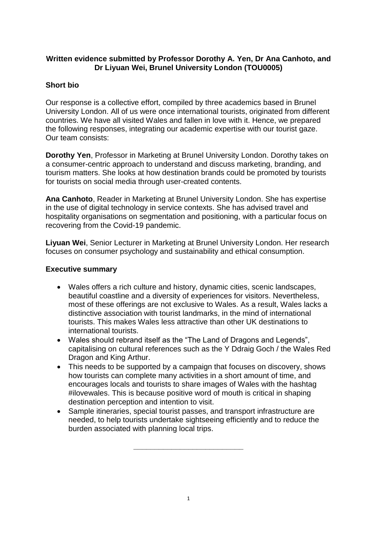# **Written evidence submitted by Professor Dorothy A. Yen, Dr Ana Canhoto, and Dr Liyuan Wei, Brunel University London (TOU0005)**

# **Short bio**

Our response is a collective effort, compiled by three academics based in Brunel University London. All of us were once international tourists, originated from different countries. We have all visited Wales and fallen in love with it. Hence, we prepared the following responses, integrating our academic expertise with our tourist gaze. Our team consists:

**Dorothy Yen**, Professor in Marketing at Brunel University London. Dorothy takes on a consumer-centric approach to understand and discuss marketing, branding, and tourism matters. She looks at how destination brands could be promoted by tourists for tourists on social media through user-created contents.

**Ana Canhoto**, Reader in Marketing at Brunel University London. She has expertise in the use of digital technology in service contexts. She has advised travel and hospitality organisations on segmentation and positioning, with a particular focus on recovering from the Covid-19 pandemic.

**Liyuan Wei**, Senior Lecturer in Marketing at Brunel University London. Her research focuses on consumer psychology and sustainability and ethical consumption.

#### **Executive summary**

- Wales offers a rich culture and history, dynamic cities, scenic landscapes, beautiful coastline and a diversity of experiences for visitors. Nevertheless, most of these offerings are not exclusive to Wales. As a result, Wales lacks a distinctive association with tourist landmarks, in the mind of international tourists. This makes Wales less attractive than other UK destinations to international tourists.
- Wales should rebrand itself as the "The Land of Dragons and Legends", capitalising on cultural references such as the Y Ddraig Goch / the Wales Red Dragon and King Arthur.
- This needs to be supported by a campaign that focuses on discovery, shows how tourists can complete many activities in a short amount of time, and encourages locals and tourists to share images of Wales with the hashtag #ilovewales. This is because positive word of mouth is critical in shaping destination perception and intention to visit.
- Sample itineraries, special tourist passes, and transport infrastructure are needed, to help tourists undertake sightseeing efficiently and to reduce the burden associated with planning local trips.

**\_\_\_\_\_\_\_\_\_\_\_\_\_\_\_\_\_\_\_\_\_\_\_\_\_\_**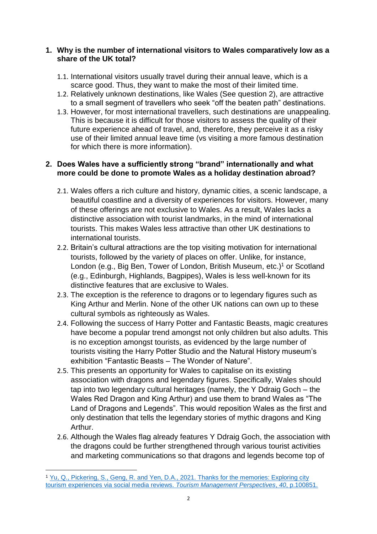#### **1. Why is the number of international visitors to Wales comparatively low as a share of the UK total?**

- 1.1. International visitors usually travel during their annual leave, which is a scarce good. Thus, they want to make the most of their limited time.
- 1.2. Relatively unknown destinations, like Wales (See question 2), are attractive to a small segment of travellers who seek "off the beaten path" destinations.
- 1.3. However, for most international travellers, such destinations are unappealing. This is because it is difficult for those visitors to assess the quality of their future experience ahead of travel, and, therefore, they perceive it as a risky use of their limited annual leave time (vs visiting a more famous destination for which there is more information).

### **2. Does Wales have a sufficiently strong "brand" internationally and what more could be done to promote Wales as a holiday destination abroad?**

- 2.1. Wales offers a rich culture and history, dynamic cities, a scenic landscape, a beautiful coastline and a diversity of experiences for visitors. However, many of these offerings are not exclusive to Wales. As a result, Wales lacks a distinctive association with tourist landmarks, in the mind of international tourists. This makes Wales less attractive than other UK destinations to international tourists.
- 2.2. Britain's cultural attractions are the top visiting motivation for international tourists, followed by the variety of places on offer. Unlike, for instance, London (e.g., Big Ben, Tower of London, British Museum, etc.)<sup>1</sup> or Scotland (e.g., Edinburgh, Highlands, Bagpipes), Wales is less well-known for its distinctive features that are exclusive to Wales.
- 2.3. The exception is the reference to dragons or to legendary figures such as King Arthur and Merlin. None of the other UK nations can own up to these cultural symbols as righteously as Wales.
- 2.4. Following the success of Harry Potter and Fantastic Beasts, magic creatures have become a popular trend amongst not only children but also adults. This is no exception amongst tourists, as evidenced by the large number of tourists visiting the Harry Potter Studio and the Natural History museum's exhibition "Fantastic Beasts – The Wonder of Nature".
- 2.5. This presents an opportunity for Wales to capitalise on its existing association with dragons and legendary figures. Specifically, Wales should tap into two legendary cultural heritages (namely, the Y Ddraig Goch – the Wales Red Dragon and King Arthur) and use them to brand Wales as "The Land of Dragons and Legends". This would reposition Wales as the first and only destination that tells the legendary stories of mythic dragons and King Arthur.
- 2.6. Although the Wales flag already features Y Ddraig Goch, the association with the dragons could be further strengthened through various tourist activities and marketing communications so that dragons and legends become top of

 $\overline{a}$ 

<sup>&</sup>lt;sup>1</sup> Yu, Q., Pickering, S., Geng, R. and Yen, D.A., 2021. Thanks for the memories: Exploring city [tourism experiences via social media reviews.](https://www.sciencedirect.com/science/article/abs/pii/S2211973621000647) *Tourism Management Perspectives*, *40*, p.100851.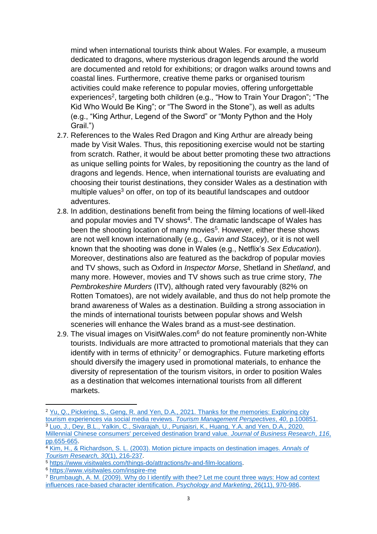mind when international tourists think about Wales. For example, a museum dedicated to dragons, where mysterious dragon legends around the world are documented and retold for exhibitions; or dragon walks around towns and coastal lines. Furthermore, creative theme parks or organised tourism activities could make reference to popular movies, offering unforgettable experiences<sup>2</sup>, targeting both children (e.g., "How to Train Your Dragon"; "The Kid Who Would Be King"; or "The Sword in the Stone"), as well as adults (e.g., "King Arthur, Legend of the Sword" or "Monty Python and the Holy Grail.")

- 2.7. References to the Wales Red Dragon and King Arthur are already being made by Visit Wales. Thus, this repositioning exercise would not be starting from scratch. Rather, it would be about better promoting these two attractions as unique selling points for Wales, by repositioning the country as the land of dragons and legends. Hence, when international tourists are evaluating and choosing their tourist destinations, they consider Wales as a destination with multiple values<sup>3</sup> on offer, on top of its beautiful landscapes and outdoor adventures.
- 2.8. In addition, destinations benefit from being the filming locations of well-liked and popular movies and TV shows<sup>4</sup>. The dramatic landscape of Wales has been the shooting location of many movies<sup>5</sup>. However, either these shows are not well known internationally (e.g., *Gavin and Stacey*), or it is not well known that the shooting was done in Wales (e.g., Netflix's *Sex Education*). Moreover, destinations also are featured as the backdrop of popular movies and TV shows, such as Oxford in *Inspector Morse*, Shetland in *Shetland*, and many more. However, movies and TV shows such as true crime story, *The Pembrokeshire Murders* (ITV), although rated very favourably (82% on Rotten Tomatoes), are not widely available, and thus do not help promote the brand awareness of Wales as a destination. Building a strong association in the minds of international tourists between popular shows and Welsh sceneries will enhance the Wales brand as a must-see destination.
- 2.9. The visual images on VisitWales.com<sup>6</sup> do not feature prominently non-White tourists. Individuals are more attracted to promotional materials that they can identify with in terms of ethnicity<sup>7</sup> or demographics. Future marketing efforts should diversify the imagery used in promotional materials, to enhance the diversity of representation of the tourism visitors, in order to position Wales as a destination that welcomes international tourists from all different markets.

 $\overline{a}$ <sup>2</sup> Yu, Q., Pickering, S., Geng, R. and Yen, D.A., 2021. Thanks for the memories: Exploring city [tourism experiences via social media reviews.](https://www.sciencedirect.com/science/article/pii/S2211973621000647?casa_token=g2SlzTs4G5cAAAAA:ASwo2OLMqVu-L42fUrQwFXGWeRZXGAMYRyaRLYg_8Na3mW8v9zioU0IQFlRPDzlFEVMPVyOZ) *Tourism Management Perspectives*, *40*, p.100851. <sup>3</sup> Luo, J., Dey, B.L., Yalkin, C., Sivarajah, U., Punjaisri, K., Huang, Y.A. and Yen, D.A., 2020. [Millennial Chinese consumers' perceived destination brand value.](https://www.sciencedirect.com/science/article/pii/S0148296318303023) *Journal of Business Research*, *116*, [pp.655-665.](https://www.sciencedirect.com/science/article/pii/S0148296318303023)

<sup>4</sup> [Kim, H., & Richardson, S. L. \(2003\). Motion picture impacts on destination images.](https://www.sciencedirect.com/science/article/pii/S0160738302000622) *Annals of [Tourism Research, 30](https://www.sciencedirect.com/science/article/pii/S0160738302000622)*(1), 216-237.

<sup>5</sup> [https://www.visitwales.com/things-do/attractions/tv-and-film-locations.](https://www.visitwales.com/things-do/attractions/tv-and-film-locations)

<sup>6</sup> <https://www.visitwales.com/inspire-me>

<sup>7</sup> [Brumbaugh, A. M. \(2009\). Why do I identify with thee? Let me count three ways: How ad context](https://onlinelibrary.wiley.com/doi/abs/10.1002/mar.20308)  [influences race-based character identification.](https://onlinelibrary.wiley.com/doi/abs/10.1002/mar.20308) *Psychology and Marketing*, 26(11), 970-986.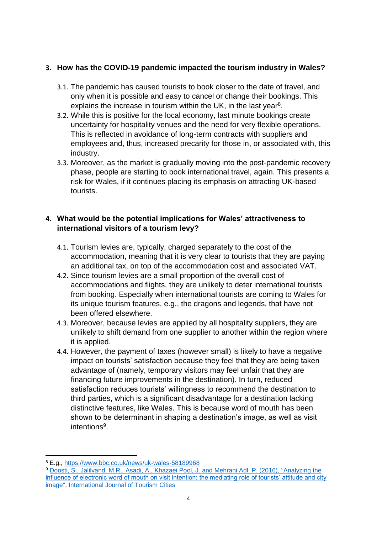# **3. How has the COVID-19 pandemic impacted the tourism industry in Wales?**

- 3.1. The pandemic has caused tourists to book closer to the date of travel, and only when it is possible and easy to cancel or change their bookings. This explains the increase in tourism within the UK, in the last year<sup>8</sup>.
- 3.2. While this is positive for the local economy, last minute bookings create uncertainty for hospitality venues and the need for very flexible operations. This is reflected in avoidance of long-term contracts with suppliers and employees and, thus, increased precarity for those in, or associated with, this industry.
- 3.3. Moreover, as the market is gradually moving into the post-pandemic recovery phase, people are starting to book international travel, again. This presents a risk for Wales, if it continues placing its emphasis on attracting UK-based tourists.

# **4. What would be the potential implications for Wales' attractiveness to international visitors of a tourism levy?**

- 4.1. Tourism levies are, typically, charged separately to the cost of the accommodation, meaning that it is very clear to tourists that they are paying an additional tax, on top of the accommodation cost and associated VAT.
- 4.2. Since tourism levies are a small proportion of the overall cost of accommodations and flights, they are unlikely to deter international tourists from booking. Especially when international tourists are coming to Wales for its unique tourism features, e.g., the dragons and legends, that have not been offered elsewhere.
- 4.3. Moreover, because levies are applied by all hospitality suppliers, they are unlikely to shift demand from one supplier to another within the region where it is applied.
- 4.4. However, the payment of taxes (however small) is likely to have a negative impact on tourists' satisfaction because they feel that they are being taken advantage of (namely, temporary visitors may feel unfair that they are financing future improvements in the destination). In turn, reduced satisfaction reduces tourists' willingness to recommend the destination to third parties, which is a significant disadvantage for a destination lacking distinctive features, like Wales. This is because word of mouth has been shown to be determinant in shaping a destination's image, as well as visit intentions<sup>9</sup>.

l <sup>8</sup> E.g.,<https://www.bbc.co.uk/news/uk-wales-58189968>

<sup>9</sup> Doosti, S., Jalilvand, M.R., Asadi, A., Khazaei [Pool, J. and Mehrani Adl, P. \(2016\), "Analyzing the](https://www.researchgate.net/publication/305693722_Analyzing_the_influence_of_electronic_word_of_mouth_on_visit_intention_the_mediating_role_of_tourists%27_attitude_and_city_image)  [influence of electronic word of mouth on visit intention: the mediating role of tourists' attitude and city](https://www.researchgate.net/publication/305693722_Analyzing_the_influence_of_electronic_word_of_mouth_on_visit_intention_the_mediating_role_of_tourists%27_attitude_and_city_image)  [image", International Journal of Tourism Cities](https://www.researchgate.net/publication/305693722_Analyzing_the_influence_of_electronic_word_of_mouth_on_visit_intention_the_mediating_role_of_tourists%27_attitude_and_city_image)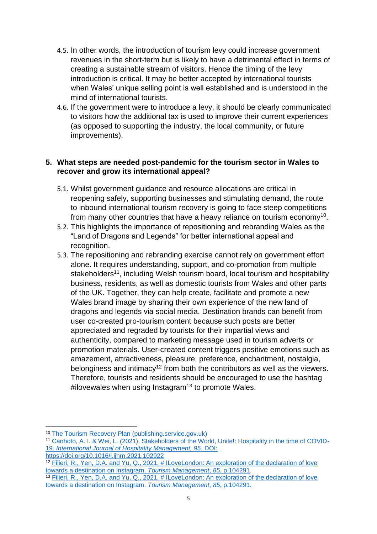- 4.5. In other words, the introduction of tourism levy could increase government revenues in the short-term but is likely to have a detrimental effect in terms of creating a sustainable stream of visitors. Hence the timing of the levy introduction is critical. It may be better accepted by international tourists when Wales' unique selling point is well established and is understood in the mind of international tourists.
- 4.6. If the government were to introduce a levy, it should be clearly communicated to visitors how the additional tax is used to improve their current experiences (as opposed to supporting the industry, the local community, or future improvements).

### **5. What steps are needed post-pandemic for the tourism sector in Wales to recover and grow its international appeal?**

- 5.1. Whilst government guidance and resource allocations are critical in reopening safely, supporting businesses and stimulating demand, the route to inbound international tourism recovery is going to face steep competitions from many other countries that have a heavy reliance on tourism economy<sup>10</sup>.
- 5.2. This highlights the importance of repositioning and rebranding Wales as the "Land of Dragons and Legends" for better international appeal and recognition.
- 5.3. The repositioning and rebranding exercise cannot rely on government effort alone. It requires understanding, support, and co-promotion from multiple stakeholders<sup>11</sup>, including Welsh tourism board, local tourism and hospitability business, residents, as well as domestic tourists from Wales and other parts of the UK. Together, they can help create, facilitate and promote a new Wales brand image by sharing their own experience of the new land of dragons and legends via social media. Destination brands can benefit from user co-created pro-tourism content because such posts are better appreciated and regraded by tourists for their impartial views and authenticity, compared to marketing message used in tourism adverts or promotion materials. User-created content triggers positive emotions such as amazement, attractiveness, pleasure, preference, enchantment, nostalgia, belonginess and intimacy<sup>12</sup> from both the contributors as well as the viewers. Therefore, tourists and residents should be encouraged to use the hashtag  $\#$ ilovewales when using Instagram<sup>13</sup> to promote Wales.

 $\overline{a}$ <sup>10</sup> [The Tourism Recovery Plan \(publishing.service.gov.uk\)](https://assets.publishing.service.gov.uk/government/uploads/system/uploads/attachment_data/file/992974/Tourism_Recovery_Plan__Web_Accessible_.pdf)

<sup>11</sup> [Canhoto, A. I. & Wei, L. \(2021\). Stakeholders of the World, Unite!: Hospitality in the time of COVID-](https://www.sciencedirect.com/science/article/pii/S0278431921000657)19. *[International Journal of Hospitality Management, 95](https://www.sciencedirect.com/science/article/pii/S0278431921000657)*, DOI: [https://doi.org/10.1016/j.ijhm.2021.102922](https://www.sciencedirect.com/science/article/pii/S0278431921000657)

<sup>&</sup>lt;sup>12</sup> Filieri, R., Yen, D.A. and Yu, Q., 2021. # ILoveLondon: An exploration of the declaration of love [towards a destination on Instagram.](https://www.sciencedirect.com/science/article/pii/S0261517721000108?casa_token=BWkJRgfm3IUAAAAA:qJTRqzqSSj1MAgHbma6Tl8v46G0KlqqAuYJdp--PMC4_YjSqLY9K6CUSsLSSdmWO4SsmwjS9) *Tourism Management*, *85*, p.104291.

<sup>13</sup> Filieri, R., Yen, D.A. and Yu, Q., 2021. # ILoveLondon: An exploration of the declaration of love [towards a destination on Instagram.](https://www.sciencedirect.com/science/article/pii/S0261517721000108?casa_token=BWkJRgfm3IUAAAAA:qJTRqzqSSj1MAgHbma6Tl8v46G0KlqqAuYJdp--PMC4_YjSqLY9K6CUSsLSSdmWO4SsmwjS9) *Tourism Management*, *85*, p.104291.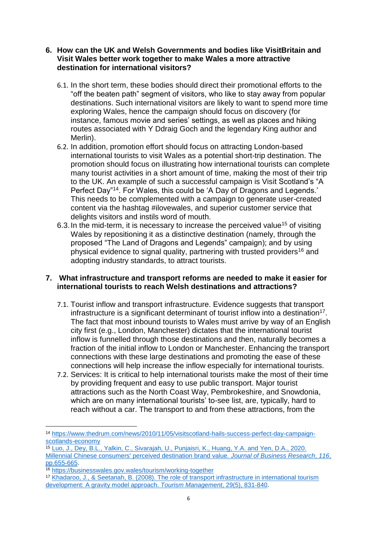#### **6. How can the UK and Welsh Governments and bodies like VisitBritain and Visit Wales better work together to make Wales a more attractive destination for international visitors?**

- 6.1. In the short term, these bodies should direct their promotional efforts to the "off the beaten path" segment of visitors, who like to stay away from popular destinations. Such international visitors are likely to want to spend more time exploring Wales, hence the campaign should focus on discovery (for instance, famous movie and series' settings, as well as places and hiking routes associated with Y Ddraig Goch and the legendary King author and Merlin).
- 6.2. In addition, promotion effort should focus on attracting London-based international tourists to visit Wales as a potential short-trip destination. The promotion should focus on illustrating how international tourists can complete many tourist activities in a short amount of time, making the most of their trip to the UK. An example of such a successful campaign is Visit Scotland's "A Perfect Day"<sup>14</sup>. For Wales, this could be 'A Day of Dragons and Legends.' This needs to be complemented with a campaign to generate user-created content via the hashtag #ilovewales, and superior customer service that delights visitors and instils word of mouth.
- 6.3. In the mid-term, it is necessary to increase the perceived value<sup>15</sup> of visiting Wales by repositioning it as a distinctive destination (namely, through the proposed "The Land of Dragons and Legends" campaign); and by using physical evidence to signal quality, partnering with trusted providers<sup>16</sup> and adopting industry standards, to attract tourists.

#### **7. What infrastructure and transport reforms are needed to make it easier for international tourists to reach Welsh destinations and attractions?**

- 7.1. Tourist inflow and transport infrastructure. Evidence suggests that transport infrastructure is a significant determinant of tourist inflow into a destination<sup>17</sup>. The fact that most inbound tourists to Wales must arrive by way of an English city first (e.g., London, Manchester) dictates that the international tourist inflow is funnelled through those destinations and then, naturally becomes a fraction of the initial inflow to London or Manchester. Enhancing the transport connections with these large destinations and promoting the ease of these connections will help increase the inflow especially for international tourists.
- 7.2. Services: It is critical to help international tourists make the most of their time by providing frequent and easy to use public transport. Major tourist attractions such as the North Coast Way, Pembrokeshire, and Snowdonia, which are on many international tourists' to-see list, are, typically, hard to reach without a car. The transport to and from these attractions, from the

 $\overline{a}$ 

<sup>14</sup> [https://www.thedrum.com/news/2010/11/05/visitscotland-hails-success-perfect-day-campaign](https://www.thedrum.com/news/2010/11/05/visitscotland-hails-success-perfect-day-campaign-scotlands-economy)[scotlands-economy](https://www.thedrum.com/news/2010/11/05/visitscotland-hails-success-perfect-day-campaign-scotlands-economy)

<sup>15</sup> [Luo, J., Dey, B.L., Yalkin, C., Sivarajah, U., Punjaisri, K., Huang, Y.A. and Yen, D.A., 2020.](https://www.sciencedirect.com/science/article/pii/S0148296318303023)  [Millennial Chinese consumers' perceived destination brand value.](https://www.sciencedirect.com/science/article/pii/S0148296318303023) *Journal of Business Research*, *116*, [pp.655-665.](https://www.sciencedirect.com/science/article/pii/S0148296318303023)

<sup>16</sup> <https://businesswales.gov.wales/tourism/working-together>

<sup>17</sup> [Khadaroo, J., & Seetanah, B. \(2008\). The role of transport infrastructure in international tourism](https://www.sciencedirect.com/science/article/pii/S0261517707001926)  [development: A gravity model approach.](https://www.sciencedirect.com/science/article/pii/S0261517707001926) *Tourism Management*, 29(5), 831-840.